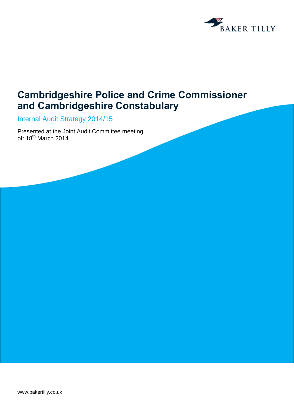

## **Cambridgeshire Police and Crime Commissioner and Cambridgeshire Constabulary**

Internal Audit Strategy 2014/15

Presented at the Joint Audit Committee meeting of: 18<sup>th</sup> March 2014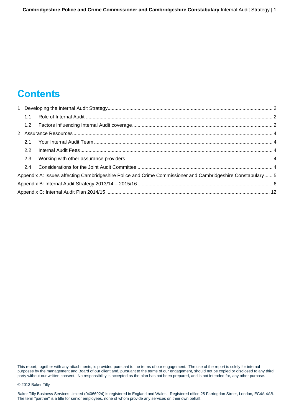## **Contents**

| 1.2 |                                                                                                             |  |
|-----|-------------------------------------------------------------------------------------------------------------|--|
|     |                                                                                                             |  |
| 2.1 |                                                                                                             |  |
| 2.2 |                                                                                                             |  |
| 2.3 |                                                                                                             |  |
| 2.4 |                                                                                                             |  |
|     | Appendix A: Issues affecting Cambridgeshire Police and Crime Commissioner and Cambridgeshire Constabulary 5 |  |
|     |                                                                                                             |  |
|     |                                                                                                             |  |

This report, together with any attachments, is provided pursuant to the terms of our engagement. The use of the report is solely for internal purposes by the management and Board of our client and, pursuant to the terms of our engagement, should not be copied or disclosed to any third party without our written consent. No responsibility is accepted as the plan has not been prepared, and is not intended for, any other purpose.

© 2013 Baker Tilly

Baker Tilly Business Services Limited (04066924) is registered in England and Wales. Registered office 25 Farringdon Street, London, EC4A 4AB. The term "partner" is a title for senior employees, none of whom provide any services on their own behalf.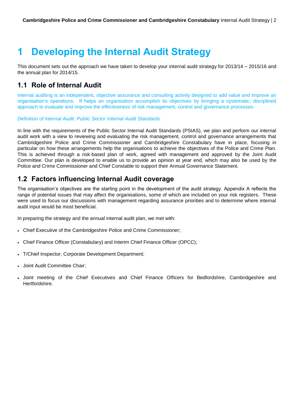# <span id="page-2-0"></span>**1 Developing the Internal Audit Strategy**

This document sets out the approach we have taken to develop your internal audit strategy for 2013/14 – 2015/16 and the annual plan for 2014/15.

### <span id="page-2-1"></span>**1.1 Role of Internal Audit**

Internal auditing is an independent, objective assurance and consulting activity designed to add value and improve an organisation's operations. It helps an organisation accomplish its objectives by bringing a systematic, disciplined approach to evaluate and improve the effectiveness of risk management, control and governance processes.

*Definition of Internal Audit: Public Sector Internal Audit Standards.*

In line with the requirements of the Public Sector Internal Audit Standards (PSIAS), we plan and perform our internal audit work with a view to reviewing and evaluating the risk management, control and governance arrangements that Cambridgeshire Police and Crime Commissioner and Cambridgeshire Constabulary have in place, focusing in particular on how these arrangements help the organisations to achieve the objectives of the Police and Crime Plan. This is achieved through a risk-based plan of work, agreed with management and approved by the Joint Audit Committee. Our plan is developed to enable us to provide an opinion at year end, which may also be used by the Police and Crime Commissioner and Chief Constable to support their Annual Governance Statement.

## <span id="page-2-2"></span>**1.2 Factors influencing Internal Audit coverage**

The organisation's objectives are the starting point in the development of the audit strategy. Appendix A reflects the range of potential issues that may affect the organisations, some of which are included on your risk registers. These were used to focus our discussions with management regarding assurance priorities and to determine where internal audit input would be most beneficial.

In preparing the strategy and the annual internal audit plan, we met with:

- Chief Executive of the Cambridgeshire Police and Crime Commissioner;
- Chief Finance Officer (Constabulary) and Interim Chief Finance Officer (OPCC);
- T/Chief Inspector, Corporate Development Department;
- Joint Audit Committee Chair;
- Joint meeting of the Chief Executives and Chief Finance Officers for Bedfordshire, Cambridgeshire and Hertfordshire.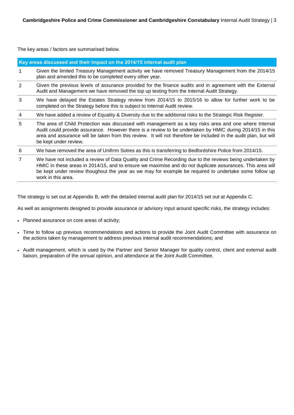The key areas / factors are summarised below.

|                | Key areas discussed and their impact on the 2014/15 internal audit plan                                                                                                                                                                                                                                                                                        |  |  |  |  |
|----------------|----------------------------------------------------------------------------------------------------------------------------------------------------------------------------------------------------------------------------------------------------------------------------------------------------------------------------------------------------------------|--|--|--|--|
| 1              | Given the limited Treasury Management activity we have removed Treasury Management from the 2014/15<br>plan and amended this to be completed every other year.                                                                                                                                                                                                 |  |  |  |  |
| 2              | Given the previous levels of assurance provided for the finance audits and in agreement with the External<br>Audit and Management we have removed the top up testing from the Internal Audit Strategy.                                                                                                                                                         |  |  |  |  |
| 3              | We have delayed the Estates Strategy review from 2014/15 to 2015/16 to allow for further work to be<br>completed on the Strategy before this is subject to Internal Audit review.                                                                                                                                                                              |  |  |  |  |
| 4              | We have added a review of Equality & Diversity due to the additional risks to the Strategic Risk Register.                                                                                                                                                                                                                                                     |  |  |  |  |
| 5              | The area of Child Protection was discussed with management as a key risks area and one where Internal<br>Audit could provide assurance. However there is a review to be undertaken by HMIC during 2014/15 in this<br>area and assurance will be taken from this review. It will not therefore be included in the audit plan, but will<br>be kept under review. |  |  |  |  |
| 6              | We have removed the area of Unifrrm Sotres as this is transferring to Bedfordshire Police from 2014/15.                                                                                                                                                                                                                                                        |  |  |  |  |
| $\overline{7}$ | We have not included a review of Data Quality and Crime Recording due to the reviews being undertaken by<br>HMIC in these areas in 2014/15, and to ensure we maximise and do not duplicate assurances. This area will<br>be kept under review thoughout the year as we may for example be required to undertake some follow up<br>work in this area.           |  |  |  |  |

The strategy is set out at Appendix B, with the detailed internal audit plan for 2014/15 set out at Appendix C.

As well as assignments designed to provide assurance or advisory input around specific risks, the strategy includes:

- Planned assurance on core areas of activity;
- Time to follow up previous recommendations and actions to provide the Joint Audit Committee with assurance on the actions taken by management to address previous internal audit recommendations; and
- Audit management, which is used by the Partner and Senior Manager for quality control, client and external audit liaison, preparation of the annual opinion, and attendance at the Joint Audit Committee.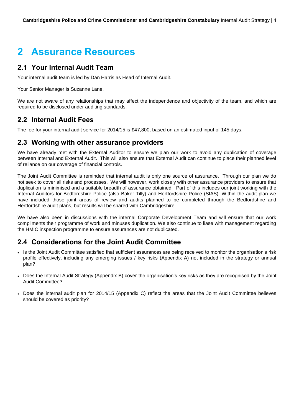## <span id="page-4-0"></span>**2 Assurance Resources**

### <span id="page-4-1"></span>**2.1 Your Internal Audit Team**

Your internal audit team is led by Dan Harris as Head of Internal Audit.

Your Senior Manager is Suzanne Lane.

We are not aware of any relationships that may affect the independence and objectivity of the team, and which are required to be disclosed under auditing standards.

### <span id="page-4-2"></span>**2.2 Internal Audit Fees**

The fee for your internal audit service for 2014/15 is £47,800, based on an estimated input of 145 days.

### <span id="page-4-3"></span>**2.3 Working with other assurance providers**

We have already met with the External Auditor to ensure we plan our work to avoid any duplication of coverage between Internal and External Audit. This will also ensure that External Audit can continue to place their planned level of reliance on our coverage of financial controls.

The Joint Audit Committee is reminded that internal audit is only one source of assurance. Through our plan we do not seek to cover all risks and processes. We will however, work closely with other assurance providers to ensure that duplication is minimised and a suitable breadth of assurance obtained. Part of this includes our joint working with the Internal Auditors for Bedfordshire Police (also Baker Tilly) and Hertfordshire Police (SIAS). Within the audit plan we have included those joint areas of review and audits planned to be completed through the Bedfordshire and Hertfordshire audit plans, but results will be shared with Cambridgeshire.

We have also been in discussions with the internal Corporate Development Team and will ensure that our work compliments their programme of work and minuses duplication. We also continue to liase with management regarding the HMIC inspection programme to ensure assurances are not duplicated.

## <span id="page-4-4"></span>**2.4 Considerations for the Joint Audit Committee**

- Is the Joint Audit Committee satisfied that sufficient assurances are being received to monitor the organisation's risk profile effectively, including any emerging issues / key risks (Appendix A) not included in the strategy or annual plan?
- Does the Internal Audit Strategy (Appendix B) cover the organisation's key risks as they are recognised by the Joint Audit Committee?
- Does the internal audit plan for 2014/15 (Appendix C) reflect the areas that the Joint Audit Committee believes should be covered as priority?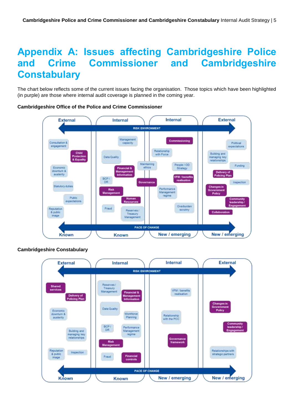## <span id="page-5-0"></span>**Appendix A: Issues affecting Cambridgeshire Police and Crime Commissioner and Cambridgeshire Constabulary**

The chart below reflects some of the current issues facing the organisation. Those topics which have been highlighted (in purple) are those where internal audit coverage is planned in the coming year.



#### **Cambridgeshire Office of the Police and Crime Commissioner**



### **Cambridgeshire Constabulary**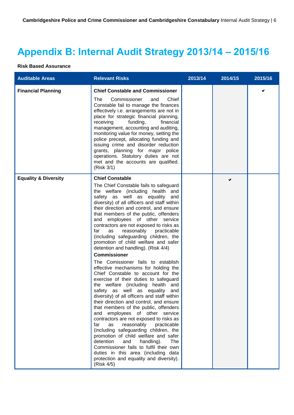# <span id="page-6-0"></span>**Appendix B: Internal Audit Strategy 2013/14 – 2015/16**

#### **Risk Based Assurance**

| <b>Auditable Areas</b>          | <b>Relevant Risks</b>                                                                                                                                                                                                                                                                                                                                                                                                                                                                                                                                                                                                                                                                                                                                                                       | 2013/14 | 2014/15 | 2015/16 |
|---------------------------------|---------------------------------------------------------------------------------------------------------------------------------------------------------------------------------------------------------------------------------------------------------------------------------------------------------------------------------------------------------------------------------------------------------------------------------------------------------------------------------------------------------------------------------------------------------------------------------------------------------------------------------------------------------------------------------------------------------------------------------------------------------------------------------------------|---------|---------|---------|
| <b>Financial Planning</b>       | <b>Chief Constable and Commissioner</b><br>The<br>Commissioner<br>Chief<br>and<br>Constable fail to manage the finances<br>effectively i.e. arrangements are not in<br>place for strategic financial planning,<br>receiving<br>funding,<br>financial<br>management, accounting and auditing,<br>monitoring value for money, setting the<br>police precept, allocating funding and<br>issuing crime and disorder reduction<br>grants, planning for major police<br>operations. Statutory duties are not<br>met and the accounts are qualified.<br>(Risk 3/1)                                                                                                                                                                                                                                 |         |         |         |
| <b>Equality &amp; Diversity</b> | <b>Chief Constable</b><br>The Chief Constable fails to safeguard<br>the welfare (including health and<br>safety as well as equality and<br>diversity) of all officers and staff within<br>their direction and control, and ensure<br>that members of the public, offenders<br>and employees of other service<br>contractors are not exposed to risks as<br>reasonably<br>far<br>practicable<br>as<br>(including safeguarding children, the<br>promotion of child welfare and safer<br>detention and handling). (Risk 4/4)                                                                                                                                                                                                                                                                   |         |         |         |
|                                 | <b>Commissioner</b><br>The Comissioner fails to establish<br>effective mechanisms for holding the<br>Chief Constable to account for the<br>exercise of their duties to safeguard<br>the welfare (including health and<br>safety as well as equality<br>and<br>diversity) of all officers and staff within<br>their direction and control, and ensure<br>that members of the public, offenders<br>employees of other service<br>and<br>contractors are not exposed to risks as<br>reasonably<br>far<br>as<br>practicable<br>(including safeguarding children, the<br>promotion of child welfare and safer<br>detention<br>and<br>handling).<br>The<br>Commissioner fails to fulfil their own<br>duties in this area (including data<br>protection and equality and diversity).<br>(Risk 4/5) |         |         |         |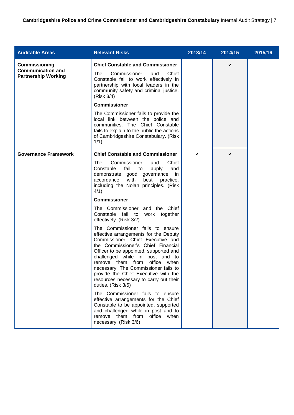| <b>Auditable Areas</b>                                                  | <b>Relevant Risks</b>                                                                                                                                                                                                                                                                                                                                                                                                                                                                                                                                                                                                                                                                                                                                                                                                                                                                                                                                                                                                       | 2013/14 | 2014/15 | 2015/16 |
|-------------------------------------------------------------------------|-----------------------------------------------------------------------------------------------------------------------------------------------------------------------------------------------------------------------------------------------------------------------------------------------------------------------------------------------------------------------------------------------------------------------------------------------------------------------------------------------------------------------------------------------------------------------------------------------------------------------------------------------------------------------------------------------------------------------------------------------------------------------------------------------------------------------------------------------------------------------------------------------------------------------------------------------------------------------------------------------------------------------------|---------|---------|---------|
| Commissioning<br><b>Communication and</b><br><b>Partnership Working</b> | <b>Chief Constable and Commissioner</b><br>Commissioner<br>Chief<br>The<br>and<br>Constable fail to work effectively in<br>partnership with local leaders in the<br>community safety and criminal justice.<br>(Risk 3/4)<br><b>Commissioner</b><br>The Commissioner fails to provide the<br>local link between the police and<br>communities. The Chief Constable<br>fails to explain to the public the actions<br>of Cambridgeshire Constabulary. (Risk<br>1/1)                                                                                                                                                                                                                                                                                                                                                                                                                                                                                                                                                            |         |         |         |
| <b>Governance Framework</b>                                             | <b>Chief Constable and Commissioner</b><br>The<br>Commissioner<br>Chief<br>and<br>Constable<br>fail<br>to<br>apply<br>and<br>demonstrate good governance, in<br>with<br>accordance<br>best<br>practice,<br>including the Nolan principles. (Risk<br>4/1)<br><b>Commissioner</b><br>The Commissioner and the Chief<br>Constable fail to work together<br>effectively. (Risk 3/2)<br>The Commissioner fails to ensure<br>effective arrangements for the Deputy<br>Commissioner, Chief Executive and<br>the Commissioner's Chief Financial<br>Officer to be appointed, supported and<br>challenged while in post and to<br>remove them from office when<br>necessary. The Commissioner fails to<br>provide the Chief Executive with the<br>resources necessary to carry out their<br>duties. (Risk 3/5)<br>The Commissioner fails to ensure<br>effective arrangements for the Chief<br>Constable to be appointed, supported<br>and challenged while in post and to<br>remove them from office<br>when<br>necessary. (Risk 3/6) | ✔       | ✔       |         |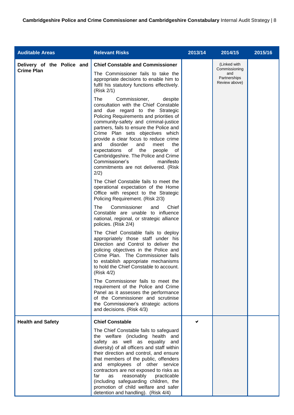| <b>Auditable Areas</b>                          | <b>Relevant Risks</b>                                                                                                                                                                                                                                                                                                                                                                                                                                                                                                                                                                                                                                                                                                                                                                                                                                                                                                                                                                                                                                                                                                                                                                                                                                                                                                                                                                                                                                                                                                                                                     | 2013/14 | 2014/15                                                               | 2015/16 |
|-------------------------------------------------|---------------------------------------------------------------------------------------------------------------------------------------------------------------------------------------------------------------------------------------------------------------------------------------------------------------------------------------------------------------------------------------------------------------------------------------------------------------------------------------------------------------------------------------------------------------------------------------------------------------------------------------------------------------------------------------------------------------------------------------------------------------------------------------------------------------------------------------------------------------------------------------------------------------------------------------------------------------------------------------------------------------------------------------------------------------------------------------------------------------------------------------------------------------------------------------------------------------------------------------------------------------------------------------------------------------------------------------------------------------------------------------------------------------------------------------------------------------------------------------------------------------------------------------------------------------------------|---------|-----------------------------------------------------------------------|---------|
| Delivery of the Police and<br><b>Crime Plan</b> | <b>Chief Constable and Commissioner</b><br>The Commissioner fails to take the<br>appropriate decisions to enable him to<br>fulfil his statutory functions effectively.<br>(Risk 2/1)<br>The<br>Commissioner,<br>despite<br>consultation with the Chief Constable<br>and due regard to the Strategic<br>Policing Requirements and priorities of<br>community-safety and criminal-justice<br>partners, fails to ensure the Police and<br>Crime Plan sets objectives which<br>provide a clear focus to reduce crime<br>and<br>disorder<br>and<br>meet<br>the<br>expectations of the<br>of<br>people<br>Cambridgeshire. The Police and Crime<br>Commissioner's<br>manifesto<br>commitments are not delivered. (Risk<br>2/2)<br>The Chief Constable fails to meet the<br>operational expectation of the Home<br>Office with respect to the Strategic<br>Policing Requirement. (Risk 2/3)<br>Commissioner<br>Chief<br>The<br>and<br>Constable are unable to influence<br>national, regional, or strategic alliance<br>policies. (Risk 2/4)<br>The Chief Constable fails to deploy<br>appropriately those staff under his<br>Direction and Control to deliver the<br>policing objectives in the Police and<br>Crime Plan. The Commissioner fails<br>to establish appropriate mechanisms<br>to hold the Chief Constable to account.<br>(Risk 4/2)<br>The Commissioner fails to meet the<br>requirement of the Police and Crime<br>Panel as it assesses the performance<br>of the Commissioner and scrutinise<br>the Commissioner's strategic actions<br>and decisions. (Risk 4/3) |         | (Linked with<br>Commissioning<br>and<br>Partnerships<br>Review above) |         |
| <b>Health and Safety</b>                        | <b>Chief Constable</b><br>The Chief Constable fails to safeguard<br>the welfare (including health and<br>safety as well as equality<br>and<br>diversity) of all officers and staff within<br>their direction and control, and ensure                                                                                                                                                                                                                                                                                                                                                                                                                                                                                                                                                                                                                                                                                                                                                                                                                                                                                                                                                                                                                                                                                                                                                                                                                                                                                                                                      |         |                                                                       |         |
|                                                 | that members of the public, offenders<br>employees of other service<br>and<br>contractors are not exposed to risks as<br>far<br>reasonably<br>practicable<br>as<br>(including safeguarding children, the<br>promotion of child welfare and safer<br>detention and handling). (Risk 4/4)                                                                                                                                                                                                                                                                                                                                                                                                                                                                                                                                                                                                                                                                                                                                                                                                                                                                                                                                                                                                                                                                                                                                                                                                                                                                                   |         |                                                                       |         |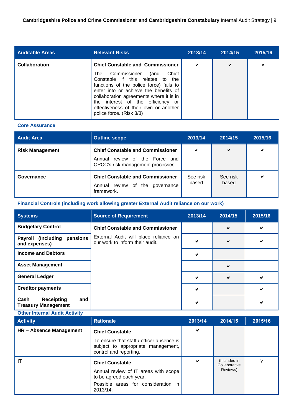| <b>Auditable Areas</b> | <b>Relevant Risks</b>                                                                                                                                                                                                                                                                                                                                           | 2013/14 | 2014/15 | 2015/16 |
|------------------------|-----------------------------------------------------------------------------------------------------------------------------------------------------------------------------------------------------------------------------------------------------------------------------------------------------------------------------------------------------------------|---------|---------|---------|
| <b>Collaboration</b>   | <b>Chief Constable and Commissioner</b><br>Commissioner<br>Chief<br>The<br>(and<br>Constable if this relates<br>to the<br>functions of the police force) fails to<br>enter into or achieve the benefits of<br>collaboration agreements where it is in<br>the interest of the efficiency or<br>effectiveness of their own or another<br>police force. (Risk 3/3) | ✔       | ✔       | ✔       |

#### **Core Assurance**

| <b>Audit Area</b>      | <b>Outline scope</b>                                                                                              | 2013/14           | 2014/15           | 2015/16 |
|------------------------|-------------------------------------------------------------------------------------------------------------------|-------------------|-------------------|---------|
| <b>Risk Management</b> | <b>Chief Constable and Commissioner</b><br>review of the Force and<br>Annual<br>OPCC's risk management processes. | ✔                 | ✔                 | ✔       |
| Governance             | <b>Chief Constable and Commissioner</b><br>Annual review of the governance<br>framework.                          | See risk<br>based | See risk<br>based | ✔       |

#### **Financial Controls (including work allowing greater External Audit reliance on our work)**

| <b>Systems</b>                                                 | <b>Source of Requirement</b>                                             | 2013/14 | 2014/15 | 2015/16 |
|----------------------------------------------------------------|--------------------------------------------------------------------------|---------|---------|---------|
| <b>Budgetary Control</b>                                       | <b>Chief Constable and Commissioner</b>                                  |         | ✔       | ✔       |
| Payroll (Including<br>pensions<br>and expenses)                | External Audit will place reliance on<br>our work to inform their audit. |         | ✔       |         |
| <b>Income and Debtors</b>                                      |                                                                          | w       |         |         |
| <b>Asset Management</b>                                        |                                                                          |         | ✔       |         |
| <b>General Ledger</b>                                          |                                                                          |         | ✔       |         |
| <b>Creditor payments</b>                                       |                                                                          |         |         |         |
| Cash<br>and<br><b>Receipting</b><br><b>Treasury Management</b> |                                                                          |         |         |         |

#### **Other Internal Audit Activity Activity Rationale 2013/14 2014/15 2015/16 HR – Absence Management Chief Constable** To ensure that staff / officer absence is subject to appropriate management, control and reporting.  $\checkmark$ **IT Chief Constable** Annual review of IT areas with scope to be agreed each year. Possible areas for consideration in 2013/14: (Included in **Collaborative** Reviews) Y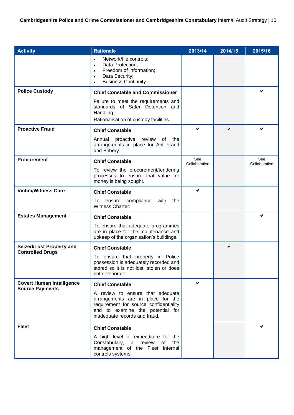| <b>Activity</b>                                            | <b>Rationale</b>                                                                                                                                                                        | 2013/14              | 2014/15 | 2015/16              |
|------------------------------------------------------------|-----------------------------------------------------------------------------------------------------------------------------------------------------------------------------------------|----------------------|---------|----------------------|
|                                                            | Network/file controls;<br>$\bullet$<br>Data Protection;<br>$\bullet$<br>Freedom of Information;<br>$\bullet$<br>Data Security;<br>$\bullet$<br><b>Business Continuity.</b><br>$\bullet$ |                      |         |                      |
| <b>Police Custody</b>                                      | <b>Chief Constable and Commissioner</b>                                                                                                                                                 |                      |         |                      |
|                                                            | Failure to meet the requirements and<br>standards of Safer Detention and<br>Handling.<br>Rationalisation of custody facilities.                                                         |                      |         |                      |
| <b>Proactive Fraud</b>                                     | <b>Chief Constable</b>                                                                                                                                                                  |                      |         |                      |
|                                                            | Annual<br>proactive<br>review<br>of<br>the<br>arrangements in place for Anti-Fraud<br>and Bribery.                                                                                      |                      |         |                      |
| <b>Procurement</b>                                         | <b>Chief Constable</b>                                                                                                                                                                  | See<br>Collaborative |         | See<br>Collaborative |
|                                                            | To review the procurement/tendering<br>processes to ensure that value for<br>money is being sought.                                                                                     |                      |         |                      |
| <b>Victim/Witness Care</b>                                 | <b>Chief Constable</b>                                                                                                                                                                  | ✔                    |         |                      |
|                                                            | compliance<br>with<br>the<br>To<br>ensure<br>Witness Charter.                                                                                                                           |                      |         |                      |
| <b>Estates Management</b>                                  | <b>Chief Constable</b>                                                                                                                                                                  |                      |         |                      |
|                                                            | To ensure that adequate programmes<br>are in place for the maintenance and<br>upkeep of the organisation's buildings.                                                                   |                      |         |                      |
| Seized/Lost Property and<br><b>Controlled Drugs</b>        | <b>Chief Constable</b>                                                                                                                                                                  |                      | ✔       |                      |
|                                                            | To ensure that property in Police<br>possession is adequately recorded and<br>stored so it is not lost, stolen or does<br>not deteriorate.                                              |                      |         |                      |
| <b>Covert Human Intelligence</b><br><b>Source Payments</b> | <b>Chief Constable</b>                                                                                                                                                                  | V                    |         |                      |
|                                                            | A review to ensure that adequate<br>arrangements are in place for the<br>requirement for source confidentiality<br>and to examine the potential for<br>inadequate records and fraud.    |                      |         |                      |
| <b>Fleet</b>                                               | <b>Chief Constable</b>                                                                                                                                                                  |                      |         |                      |
|                                                            | A high level of expenditure for the<br>Constabulary, a review<br>of<br>the<br>management of the Fleet internal<br>controls systems.                                                     |                      |         |                      |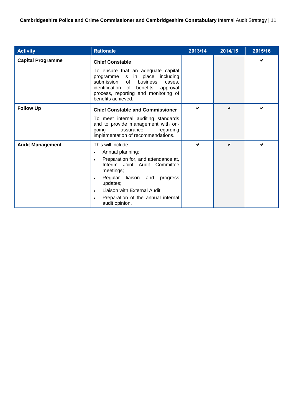**Cambridgeshire Police and Crime Commissioner and Cambridgeshire Constabulary** Internal Audit Strategy | 11

<span id="page-11-0"></span>

| <b>Activity</b>          | <b>Rationale</b>                                                                                                                                                                                                                                                                                                                    | 2013/14 | 2014/15 | 2015/16 |
|--------------------------|-------------------------------------------------------------------------------------------------------------------------------------------------------------------------------------------------------------------------------------------------------------------------------------------------------------------------------------|---------|---------|---------|
| <b>Capital Programme</b> | <b>Chief Constable</b><br>To ensure that an adequate capital<br>programme is in place including<br>submission of business<br>cases.<br>identification of benefits, approval<br>process, reporting and monitoring of<br>benefits achieved.                                                                                           |         |         |         |
| <b>Follow Up</b>         | <b>Chief Constable and Commissioner</b><br>To meet internal auditing standards<br>and to provide management with on-<br>going<br>assurance<br>regarding<br>implementation of recommendations.                                                                                                                                       |         | Ø       |         |
| <b>Audit Management</b>  | This will include:<br>Annual planning;<br>$\bullet$<br>Preparation for, and attendance at,<br>$\bullet$<br>Interim Joint Audit Committee<br>meetings;<br>Regular liaison and<br>progress<br>$\bullet$<br>updates;<br>Liaison with External Audit;<br>$\bullet$<br>Preparation of the annual internal<br>$\bullet$<br>audit opinion. |         |         |         |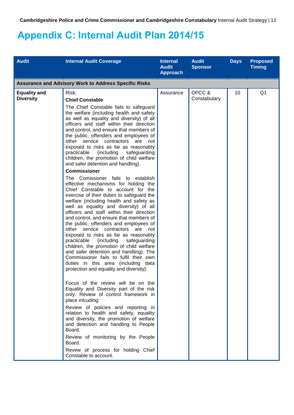## **Appendix C: Internal Audit Plan 2014/15**

| <b>Assurance and Advisory Work to Address Specific Risks</b><br>Risk:<br><b>Chief Constable</b><br>The Chief Constable fails to safeguard<br>the welfare (including health and safety<br>as well as equality and diversity) of all                                                                                                                                                                                                                                                                                                                                                                                                                                                                                                                                                                                                                                                                                                                                                                                                                                                                                                                                                                            | Assurance                                                                                                 | OPCC &<br>Constabulary | 10 | Q <sub>1</sub> |
|---------------------------------------------------------------------------------------------------------------------------------------------------------------------------------------------------------------------------------------------------------------------------------------------------------------------------------------------------------------------------------------------------------------------------------------------------------------------------------------------------------------------------------------------------------------------------------------------------------------------------------------------------------------------------------------------------------------------------------------------------------------------------------------------------------------------------------------------------------------------------------------------------------------------------------------------------------------------------------------------------------------------------------------------------------------------------------------------------------------------------------------------------------------------------------------------------------------|-----------------------------------------------------------------------------------------------------------|------------------------|----|----------------|
|                                                                                                                                                                                                                                                                                                                                                                                                                                                                                                                                                                                                                                                                                                                                                                                                                                                                                                                                                                                                                                                                                                                                                                                                               |                                                                                                           |                        |    |                |
| and control, and ensure that members of<br>the public, offenders and employees of<br>other service contractors are<br>not<br>exposed to risks as far as reasonably<br>practicable<br>(including<br>safeguarding<br>children, the promotion of child welfare<br>and safer detention and handling).<br><b>Commissioner</b><br>The Comissioner fails to establish<br>effective mechanisms for holding the<br>Chief Constable to account for the<br>exercise of their duties to safeguard the<br>welfare (including health and safety as<br>well as equality and diversity) of all<br>officers and staff within their direction<br>and control, and ensure that members of<br>the public, offenders and employees of<br>other service contractors are<br>not<br>exposed to risks as far as reasonably<br>practicable<br>(including<br>safeguarding<br>children, the promotion of child welfare<br>and safer detention and handling). The<br>Commissioner fails to fulfil their own<br>duties in this area (including data<br>protection and equality and diversity).<br>Focus of the review will be on the<br>Equality and Diversity part of the risk<br>only. Review of control framework in<br>place inlcuding: |                                                                                                           |                        |    |                |
| relation to health and safety, equality<br>and diversity, the promotion of welfare<br>and detection and handling to People<br>Board.<br>Review of monitoring by the People<br>Board.<br>Revew of process for holding Chief                                                                                                                                                                                                                                                                                                                                                                                                                                                                                                                                                                                                                                                                                                                                                                                                                                                                                                                                                                                    |                                                                                                           |                        |    |                |
|                                                                                                                                                                                                                                                                                                                                                                                                                                                                                                                                                                                                                                                                                                                                                                                                                                                                                                                                                                                                                                                                                                                                                                                                               | officers and staff within their direction<br>Review of policies and reporting in<br>Constable to account. |                        |    |                |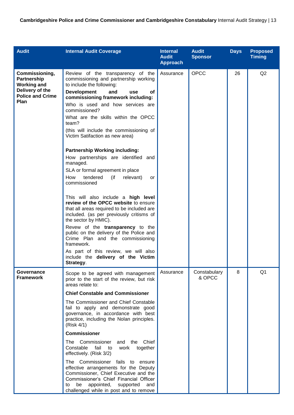| <b>Audit</b>                                                                                              | <b>Internal Audit Coverage</b>                                                                                                                                                                                                                                                                                                                                                                                                                                                                                                                                                                                                                                                                                                                                                                                                                                                                                                                                                                        | <b>Internal</b><br><b>Audit</b><br><b>Approach</b> | <b>Audit</b><br><b>Sponsor</b> | <b>Days</b> | <b>Proposed</b><br><b>Timing</b> |
|-----------------------------------------------------------------------------------------------------------|-------------------------------------------------------------------------------------------------------------------------------------------------------------------------------------------------------------------------------------------------------------------------------------------------------------------------------------------------------------------------------------------------------------------------------------------------------------------------------------------------------------------------------------------------------------------------------------------------------------------------------------------------------------------------------------------------------------------------------------------------------------------------------------------------------------------------------------------------------------------------------------------------------------------------------------------------------------------------------------------------------|----------------------------------------------------|--------------------------------|-------------|----------------------------------|
| Commissioning,<br>Partnership<br><b>Working and</b><br>Delivery of the<br><b>Police and Crime</b><br>Plan | Review of the transparency of the<br>commissioning and partnership working<br>to include the following:<br><b>Development</b><br>and<br>οf<br>use<br>commissioning framework including:<br>Who is used and how services are<br>commissioned?<br>What are the skills within the OPCC<br>team?<br>(this will include the commissioning of<br>Victim Satifaction as new area)<br><b>Partnership Working including:</b><br>How partnerships are identified and<br>managed.<br>SLA or formal agreement in place<br>tendered<br>(if<br>How<br>relevant)<br>or<br>commissioned<br>This will also include a high level<br>review of the OPCC website to ensure<br>that all areas required to be included are<br>included. (as per previously critisms of<br>the sector by HMIC).<br>Revew of the transparency to the<br>public on the delivery of the Police and<br>Crime Plan and the commissioning<br>framework.<br>As part of this review, we will also<br>include the delivery of the Victim<br>Strategy. | Assurance                                          | OPCC                           | 26          | Q2                               |
| Governance<br><b>Framework</b>                                                                            | Scope to be agreed with management<br>prior to the start of the review, but risk<br>areas relate to:<br><b>Chief Constable and Commissioner</b><br>The Commissioner and Chief Constable<br>fail to apply and demonstrate good<br>governance, in accordance with best<br>practice, including the Nolan principles.<br>(Risk 4/1)<br><b>Commissioner</b><br>The Commissioner and the Chief<br>fail<br>Constable<br>work<br>together<br>to<br>effectively. (Risk 3/2)<br>The Commissioner fails to ensure<br>effective arrangements for the Deputy<br>Commissioner, Chief Executive and the<br>Commissioner's Chief Financial Officer<br>appointed,<br>supported<br>be<br>and<br>to<br>challenged while in post and to remove                                                                                                                                                                                                                                                                            | Assurance                                          | Constabulary<br>& OPCC         | 8           | Q <sub>1</sub>                   |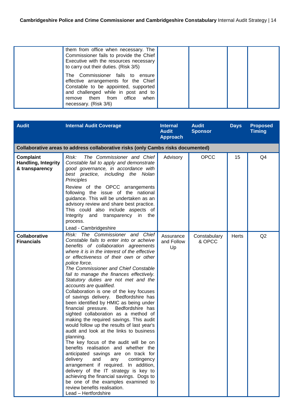| them from office when necessary. The<br>Commissioner fails to provide the Chief<br>Executive with the resources necessary<br>to carry out their duties. (Risk 3/5)                                                  |  |  |
|---------------------------------------------------------------------------------------------------------------------------------------------------------------------------------------------------------------------|--|--|
| The Commissioner fails to ensure<br>effective arrangements for the Chief<br>Constable to be appointed, supported<br>and challenged while in post and to<br>remove them from office<br>when<br>necessary. (Risk 3/6) |  |  |

| <b>Audit</b>                                                                     | <b>Internal Audit Coverage</b>                                                                                                                                                                                                                                                                                                                                                                                                                                                                                                                                                                                                                                                                                                                                                                                                                                                                                                                                                                                                                                                                                                                         | <b>Internal</b><br><b>Audit</b><br><b>Approach</b> | <b>Audit</b><br><b>Sponsor</b> | <b>Days</b>  | <b>Proposed</b><br><b>Timing</b> |  |
|----------------------------------------------------------------------------------|--------------------------------------------------------------------------------------------------------------------------------------------------------------------------------------------------------------------------------------------------------------------------------------------------------------------------------------------------------------------------------------------------------------------------------------------------------------------------------------------------------------------------------------------------------------------------------------------------------------------------------------------------------------------------------------------------------------------------------------------------------------------------------------------------------------------------------------------------------------------------------------------------------------------------------------------------------------------------------------------------------------------------------------------------------------------------------------------------------------------------------------------------------|----------------------------------------------------|--------------------------------|--------------|----------------------------------|--|
| Collaborative areas to address collaborative risks (only Cambs risks documented) |                                                                                                                                                                                                                                                                                                                                                                                                                                                                                                                                                                                                                                                                                                                                                                                                                                                                                                                                                                                                                                                                                                                                                        |                                                    |                                |              |                                  |  |
| Complaint<br>Handling, Integrity<br>& transparency                               | The Commissioner and Chief<br>Risk:<br>Constable fail to apply and demonstrate<br>good governance, in accordance with<br>best practice, including the Nolan<br>Principles<br>Review of the OPCC arrangements<br>following the issue of the national<br>quidance. This will be undertaken as an<br>advisory review and share best practice.<br>This could also include aspects of<br>Integrity and transparency<br>in the<br>process.<br>Lead - Cambridgeshire                                                                                                                                                                                                                                                                                                                                                                                                                                                                                                                                                                                                                                                                                          | Advisory                                           | <b>OPCC</b>                    | 15           | Q4                               |  |
| <b>Collaborative</b><br><b>Financials</b>                                        | Risk: The Commissioner and Chief<br>Constable fails to enter into or acheive<br>benefits of collaboration agreements<br>where it is in the interest of the effective<br>or effectiveness of their own or other<br>police force.<br>The Commissioner and Chief Constable<br>fail to manage the finances effectively.<br>Statutory duties are not met and the<br>accounts are qualified.<br>Collaboration is one of the key focuses<br>of savings delivery. Bedfordshire has<br>been identified by HMIC as being under<br>Bedfordshire has<br>financial pressure.<br>sighted collaboration as a method of<br>making the required savings. This audit<br>would follow up the results of last year's<br>audit and look at the links to business<br>planning.<br>The key focus of the audit will be on<br>benefits realisation and whether the<br>anticipated savings are on track for<br>delivery<br>and<br>any<br>contingency<br>arrangement if required. In addition,<br>delivery of the IT strategy is key to<br>achieving the financial savings. Dogs to<br>be one of the examples examined to<br>review benefits realisation.<br>Lead - Hertfordshire | Assurance<br>and Follow<br>Up                      | Constabulary<br>& OPCC         | <b>Herts</b> | Q2                               |  |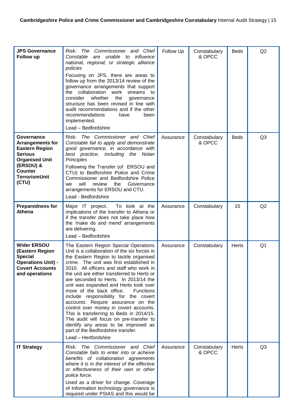| <b>JPS Governance</b><br>Follow up                                                                                                                                        | The Commissioner and Chief<br>Risk:<br>unable to influence<br>Constable<br>are<br>national, regional, or strategic alliance<br>policies<br>Focusing on JPS, there are areas to<br>follow up from the 2013/14 review of the<br>governance arrangements that support<br>the collaboration work<br>streams<br>to<br>whether<br>the<br>consider<br>governance<br>structure has been revised in line with<br>audit recommendations and if the other<br>recommendations<br>have<br>been<br>implemented.<br>Lead - Bedfordshire                                                                                                                                                                                                       | Follow Up | Constabulary<br>& OPCC | <b>Beds</b>  | Q2             |
|---------------------------------------------------------------------------------------------------------------------------------------------------------------------------|--------------------------------------------------------------------------------------------------------------------------------------------------------------------------------------------------------------------------------------------------------------------------------------------------------------------------------------------------------------------------------------------------------------------------------------------------------------------------------------------------------------------------------------------------------------------------------------------------------------------------------------------------------------------------------------------------------------------------------|-----------|------------------------|--------------|----------------|
| Governance<br><b>Arrangements for</b><br><b>Eastern Region</b><br><b>Serious</b><br><b>Organised Unit</b><br>(ERSOU) &<br><b>Counter</b><br><b>TerrorismUnit</b><br>(CTU) | The Commissioner and Chief<br>Risk:<br>Constable fail to apply and demonstrate<br>good governance, in accordance with<br>best practice, including the Nolan<br>Principles<br>Following the Transfer (of ERSOU and<br>CTU) to Bedforshire Police and Crime<br>Commissioner and Bedfordshire Police<br>will<br>Governance<br>review<br>the<br>we<br>arrangements for ERSOU and CTU.<br>Lead - Bedfordshire                                                                                                                                                                                                                                                                                                                       | Assurance | Constabulary<br>& OPCC | <b>Beds</b>  | Q <sub>3</sub> |
| <b>Preparedness for</b><br>Athena                                                                                                                                         | Major IT project.<br>To look at the<br>implications of the transfer to Athena or<br>if the transfer does not take place how<br>the 'make do and mend' arrangements<br>are delivering.<br>Lead - Bedfordshire                                                                                                                                                                                                                                                                                                                                                                                                                                                                                                                   | Assurance | Constabulary           | 15           | Q2             |
| <b>Wider ERSOU</b><br>(Eastern Region<br><b>Special</b><br><b>Operations Unit) -</b><br><b>Covert Accounts</b><br>and operations                                          | The Eastern Region Special Operations<br>Unit is a collaboration of the six forces in<br>the Eastern Region to tackle organised<br>crime. The unit was first established in<br>2010. All officers and staff who work in<br>the unit are either transferred to Herts or<br>are seconded to Herts. In 2013/14 the<br>unit was expanded and Herts took over<br>more of the back office.<br><b>Functions</b><br>include responsibility for the covert<br>accounts. Require assurance on the<br>control over money in covert accounts.<br>This is transferring to Beds in 2014/15.<br>The audit will focus on pre-transfer to<br>identify any areas to be improved as<br>part of the Bedfordshire transfer.<br>Lead - Hertfordshire | Assurance | Constabulary           | <b>Herts</b> | Q <sub>1</sub> |
| <b>IT Strategy</b>                                                                                                                                                        | Risk: The Commissioner and Chief<br>Constable fails to enter into or acheive<br>benefits of collaboration agreements<br>where it is in the interest of the effective<br>or effectiveness of their own or other<br>police force.<br>Used as a driver for change. Coverage<br>of Information technology governance is<br>required under PSIAS and this would be                                                                                                                                                                                                                                                                                                                                                                  | Assurance | Constabulary<br>& OPCC | Herts        | Q <sub>3</sub> |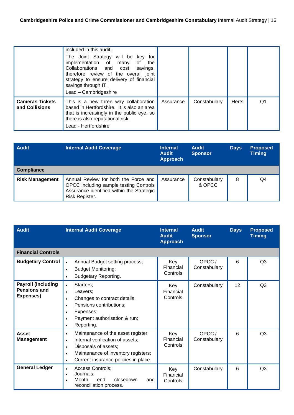|                                          | included in this audit.<br>The Joint Strategy will be key for<br>implementation of many<br>of the<br>Collaborations and cost savings,<br>therefore review of the overall joint<br>strategy to ensure delivery of financial<br>savings through IT.<br>Lead - Cambridgeshire |           |              |              |    |
|------------------------------------------|----------------------------------------------------------------------------------------------------------------------------------------------------------------------------------------------------------------------------------------------------------------------------|-----------|--------------|--------------|----|
| <b>Cameras Tickets</b><br>and Collisions | This is a new three way collaboration<br>based in Hertfordshire. It is also an area<br>that is increasingly in the public eye, so<br>there is also reputational risk.<br>Lead - Hertfordshire                                                                              | Assurance | Constabulary | <b>Herts</b> | Q1 |

| <b>Audit</b>           | <b>Internal Audit Coverage</b>                                                                                                                | <b>Internal</b><br><b>Audit</b><br><b>Approach</b> | <b>Audit</b><br><b>Sponsor</b> | <b>Days</b> | <b>Proposed</b><br><b>Timing</b> |
|------------------------|-----------------------------------------------------------------------------------------------------------------------------------------------|----------------------------------------------------|--------------------------------|-------------|----------------------------------|
| <b>Compliance</b>      |                                                                                                                                               |                                                    |                                |             |                                  |
| <b>Risk Management</b> | Annual Review for both the Force and<br>OPCC including sample testing Controls<br>Assurance identified within the Strategic<br>Risk Register. | Assurance                                          | Constabulary<br>& OPCC         | 8           | Q4                               |

| <b>Audit</b>                                           | <b>Internal Audit Coverage</b>                                                                                                                                                                                                                 | <b>Internal</b><br><b>Audit</b><br><b>Approach</b> | <b>Audit</b><br><b>Sponsor</b> | <b>Days</b> | <b>Proposed</b><br><b>Timing</b> |
|--------------------------------------------------------|------------------------------------------------------------------------------------------------------------------------------------------------------------------------------------------------------------------------------------------------|----------------------------------------------------|--------------------------------|-------------|----------------------------------|
| <b>Financial Controls</b>                              |                                                                                                                                                                                                                                                |                                                    |                                |             |                                  |
| <b>Budgetary Control</b>                               | Annual Budget setting process;<br>$\bullet$<br><b>Budget Monitoring;</b><br>$\bullet$<br><b>Budgetary Reporting.</b>                                                                                                                           | Key<br>Financial<br>Controls                       | OPCC/<br>Constabulary          | 6           | Q3                               |
| <b>Payroll (including</b><br>Pensions and<br>Expenses) | Starters;<br>$\bullet$<br>Leavers:<br>$\bullet$<br>Changes to contract details;<br>Pensions contributions;<br>$\bullet$<br>Expenses;<br>Payment authorisation & run;<br>$\bullet$<br>Reporting.<br>$\bullet$                                   | Key<br>Financial<br>Controls                       | Constabulary                   | 12          | Q3                               |
| <b>Asset</b><br><b>Management</b>                      | Maintenance of the asset register;<br>$\bullet$<br>Internal verification of assets;<br>$\bullet$<br>Disposals of assets;<br>$\bullet$<br>Maintenance of inventory registers;<br>$\bullet$<br>Current insurance policies in place.<br>$\bullet$ | Key<br>Financial<br>Controls                       | OPCC/<br>Constabulary          | 6           | Q <sub>3</sub>                   |
| <b>General Ledger</b>                                  | Access Controls;<br>$\bullet$<br>Journals:<br>$\bullet$<br>Month<br>closedown<br>end<br>and<br>reconciliation process.                                                                                                                         | Key<br>Financial<br>Controls                       | Constabulary                   | 6           | Q <sub>3</sub>                   |